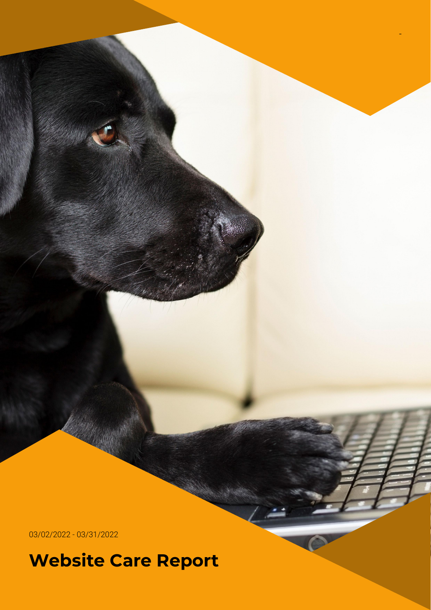03/02/2022 - 03/31/2022

**Website Care Report**

-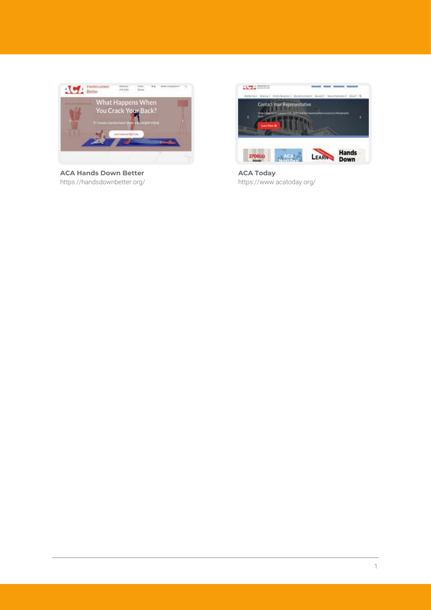

**ACA Hands Down Better** https://handsdownbetter.org/



**ACA Today** https://www.acatoday.org/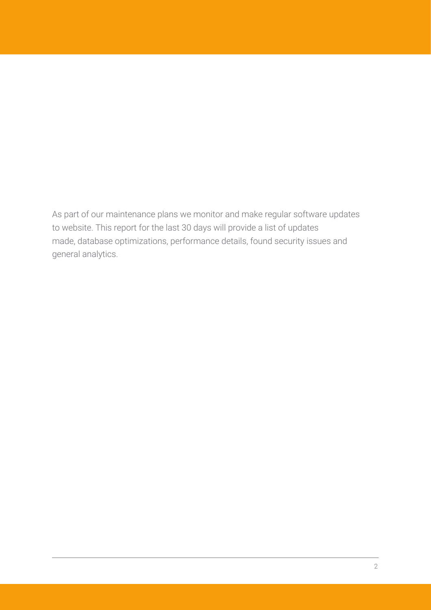As part of our maintenance plans we monitor and make regular software updates to website. This report for the last 30 days will provide a list of updates made, database optimizations, performance details, found security issues and general analytics.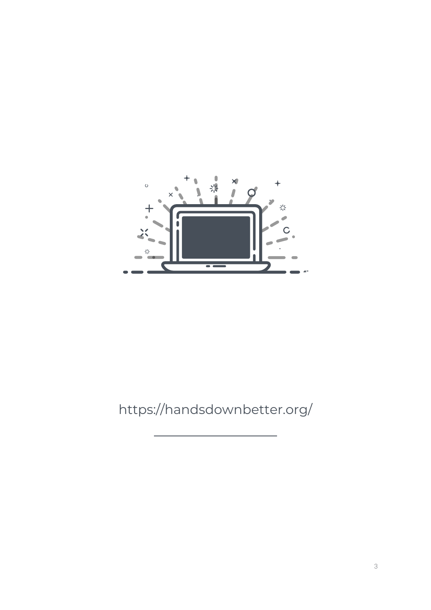

## https://handsdownbetter.org/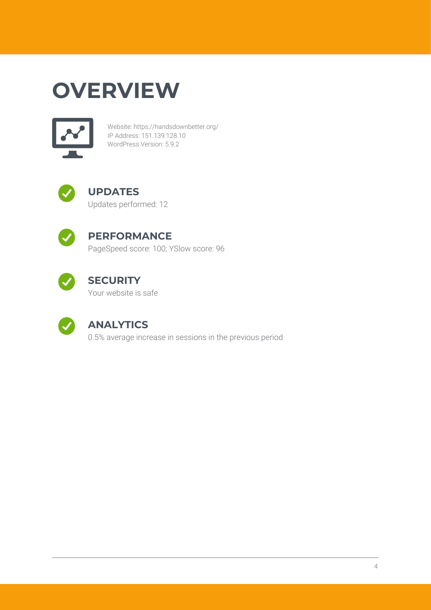# **OVERVIEW**



Website: https://handsdownbetter.org/ IP Address: 151.139.128.10 WordPress Version: 5.9.2



#### **UPDATES** Updates performed: 12



## **PERFORMANCE**

PageSpeed score: 100; YSlow score: 96



## **SECURITY**

Your website is safe



### **ANALYTICS**

0.5% average increase in sessions in the previous period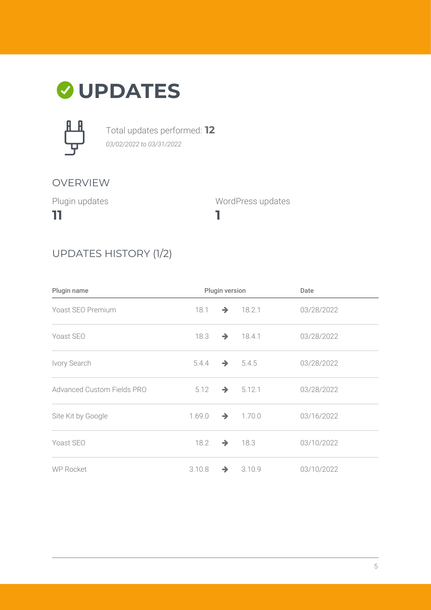# **UPDATES**



Total updates performed: **12** *03/02/2022 to 03/31/2022*

### OVERVIEW

Plugin updates

**11**

WordPress updates

### UPDATES HISTORY (1/2)

| Plugin name                | Plugin version |               | Date                 |            |
|----------------------------|----------------|---------------|----------------------|------------|
| Yoast SEO Premium          | 18.1           | $\rightarrow$ | 18.2.1               | 03/28/2022 |
| Yoast SEO                  | 18.3           |               | $\rightarrow$ 18.4.1 | 03/28/2022 |
| Ivory Search               | 5.4.4          |               | $\rightarrow$ 5.4.5  | 03/28/2022 |
| Advanced Custom Fields PRO | 5.12           |               | $\rightarrow 5.12.1$ | 03/28/2022 |
| Site Kit by Google         | 1.69.0         |               | $\rightarrow$ 1.70.0 | 03/16/2022 |
| Yoast SEO                  | 18.2           | $\rightarrow$ | 18.3                 | 03/10/2022 |
| <b>WP Rocket</b>           | 3.10.8         | $\rightarrow$ | 3.10.9               | 03/10/2022 |

**1**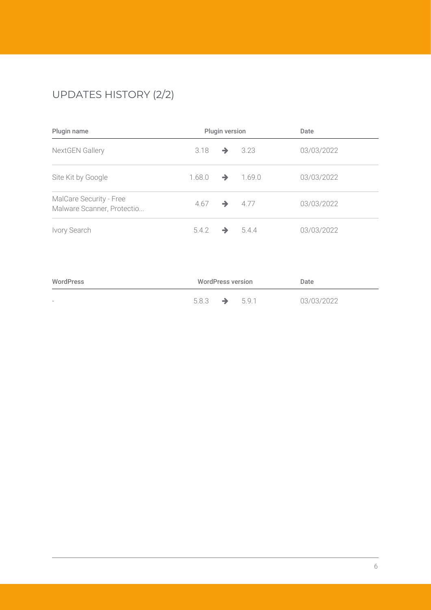## UPDATES HISTORY (2/2)

| Plugin name                                           | Plugin version |               | Date   |            |
|-------------------------------------------------------|----------------|---------------|--------|------------|
| NextGEN Gallery                                       | 3.18           | →             | 3.23   | 03/03/2022 |
| Site Kit by Google                                    | 1.68.0         | →             | 1.69.0 | 03/03/2022 |
| MalCare Security - Free<br>Malware Scanner, Protectio | 4.67           | $\rightarrow$ | 4.77   | 03/03/2022 |
| Ivory Search                                          | 5.4.2          |               | 544    | 03/03/2022 |

| WordPress                | <b>WordPress version</b> |               |       | Date       |
|--------------------------|--------------------------|---------------|-------|------------|
| $\overline{\phantom{0}}$ | 5.8.3                    | $\rightarrow$ | 5.9.1 | 03/03/2022 |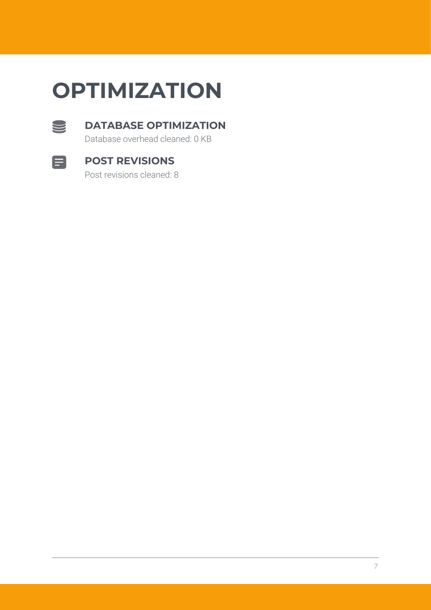# **OPTIMIZATION**



#### **DATABASE OPTIMIZATION**

Database overhead cleaned: 0 KB



#### **POST REVISIONS**

Post revisions cleaned: 8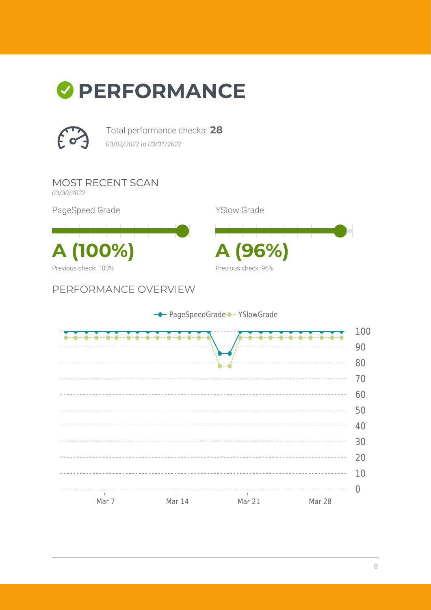# *O* PERFORMANCE



Total performance checks: **28** *03/02/2022 to 03/31/2022*

MOST RECENT SCAN *03/30/2022*

PageSpeed Grade

**A (100%) A (96%)** Previous check: 100%

PERFORMANCE OVERVIEW

YSlow Grade Previous check: 96%

- PageSpeedGrade - YSlowGrade 100  $-0-0--0-0$ 90  $- - - -$ 80 <u> - - - - - - - - - - - - -</u>  $70$ 60 <u>----------</u> 50 \_\_\_\_\_\_\_\_\_\_\_\_\_\_\_\_\_\_\_\_\_\_ <u> - - - - - - - - - -</u> <u>. . . . . . . . . . .</u> 40 \_\_\_\_\_\_\_\_\_\_\_\_\_\_ 30 20 10  $\overline{0}$  $\sim 10^{-1}$ Mar 14 Mar 21 Mar 7 Mar 28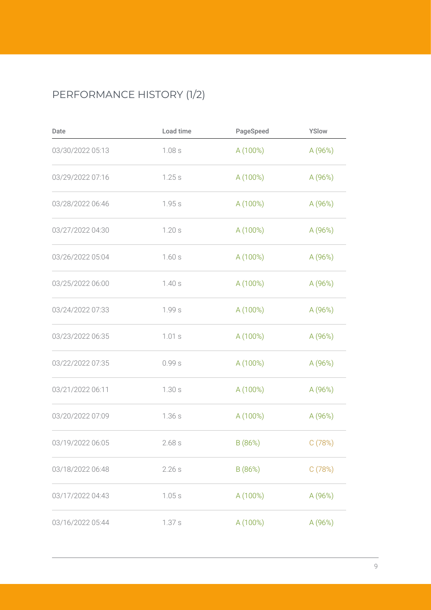## PERFORMANCE HISTORY (1/2)

| Date             | Load time | PageSpeed | YSlow   |
|------------------|-----------|-----------|---------|
| 03/30/2022 05:13 | 1.08s     | A (100%)  | A (96%) |
| 03/29/2022 07:16 | 1.25s     | A (100%)  | A (96%) |
| 03/28/2022 06:46 | 1.95s     | A (100%)  | A (96%) |
| 03/27/2022 04:30 | 1.20s     | A (100%)  | A (96%) |
| 03/26/2022 05:04 | 1.60s     | A (100%)  | A (96%) |
| 03/25/2022 06:00 | 1.40s     | A (100%)  | A (96%) |
| 03/24/2022 07:33 | 1.99s     | A (100%)  | A (96%) |
| 03/23/2022 06:35 | 1.01s     | A (100%)  | A (96%) |
| 03/22/2022 07:35 | 0.99s     | A (100%)  | A (96%) |
| 03/21/2022 06:11 | 1.30s     | A (100%)  | A (96%) |
| 03/20/2022 07:09 | 1.36s     | A (100%)  | A (96%) |
| 03/19/2022 06:05 | 2.68s     | B (86%)   | C(78%)  |
| 03/18/2022 06:48 | 2.26s     | B (86%)   | C(78%)  |
| 03/17/2022 04:43 | 1.05s     | A (100%)  | A (96%) |
| 03/16/2022 05:44 | 1.37s     | A (100%)  | A (96%) |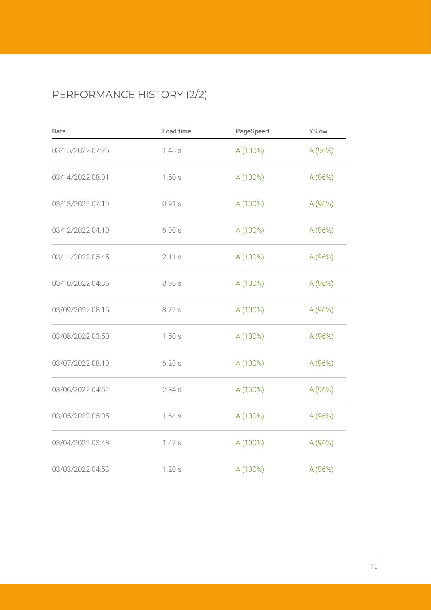## PERFORMANCE HISTORY (2/2)

| Date             | Load time | PageSpeed | YSlow   |
|------------------|-----------|-----------|---------|
| 03/15/2022 07:25 | 1.48s     | A (100%)  | A (96%) |
| 03/14/2022 08:01 | 1.50s     | A (100%)  | A (96%) |
| 03/13/2022 07:10 | 0.91s     | A (100%)  | A (96%) |
| 03/12/2022 04:10 | 6.00 s    | A (100%)  | A (96%) |
| 03/11/2022 05:45 | 2.11s     | A (100%)  | A (96%) |
| 03/10/2022 04:35 | 8.96 s    | A (100%)  | A (96%) |
| 03/09/2022 08:15 | 8.72 s    | A (100%)  | A(96%)  |
| 03/08/2022 03:50 | 1.50s     | A (100%)  | A (96%) |
| 03/07/2022 08:10 | 6.20s     | A (100%)  | A (96%) |
| 03/06/2022 04:52 | 2.34s     | A (100%)  | A (96%) |
| 03/05/2022 05:05 | 1.64s     | A (100%)  | A (96%) |
| 03/04/2022 03:48 | 1.47s     | A (100%)  | A (96%) |
| 03/03/2022 04:53 | 1.20s     | A (100%)  | A (96%) |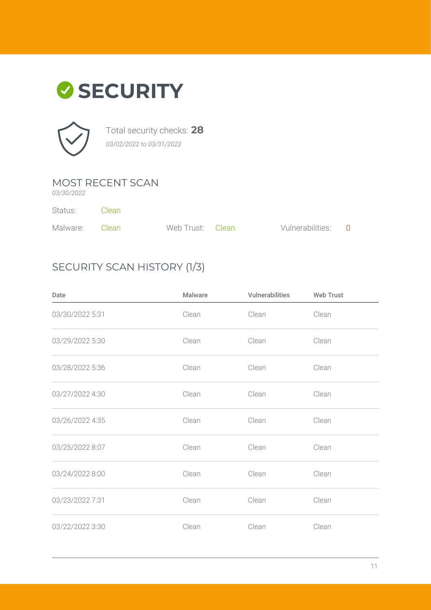



Total security checks: **28** *03/02/2022 to 03/31/2022*

### MOST RECENT SCAN

*03/30/2022*

Status: Clean

| Malware: Clean | Web Trust: Clean | Vulnerabilities: 0 |  |
|----------------|------------------|--------------------|--|

### SECURITY SCAN HISTORY (1/3)

| Date            | Malware | Vulnerabilities | <b>Web Trust</b> |
|-----------------|---------|-----------------|------------------|
| 03/30/2022 5:31 | Clean   | Clean           | Clean            |
| 03/29/2022 5:30 | Clean   | Clean           | Clean            |
| 03/28/2022 5:36 | Clean   | Clean           | Clean            |
| 03/27/2022 4:30 | Clean   | Clean           | Clean            |
| 03/26/2022 4:35 | Clean   | Clean           | Clean            |
| 03/25/2022 8:07 | Clean   | Clean           | Clean            |
| 03/24/2022 8:00 | Clean   | Clean           | Clean            |
| 03/23/2022 7:31 | Clean   | Clean           | Clean            |
| 03/22/2022 3:30 | Clean   | Clean           | Clean            |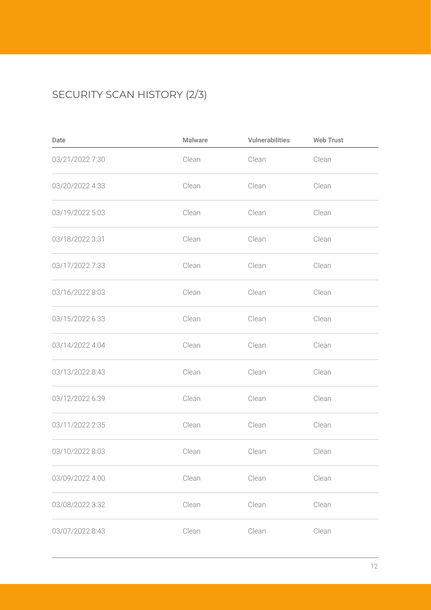## SECURITY SCAN HISTORY (2/3)

| Date            | Malware | Vulnerabilities | <b>Web Trust</b> |
|-----------------|---------|-----------------|------------------|
| 03/21/2022 7:30 | Clean   | Clean           | Clean            |
| 03/20/2022 4:33 | Clean   | Clean           | Clean            |
| 03/19/2022 5:03 | Clean   | Clean           | Clean            |
| 03/18/2022 3:31 | Clean   | Clean           | Clean            |
| 03/17/2022 7:33 | Clean   | Clean           | Clean            |
| 03/16/2022 8:03 | Clean   | Clean           | Clean            |
| 03/15/2022 6:33 | Clean   | Clean           | Clean            |
| 03/14/2022 4:04 | Clean   | Clean           | Clean            |
| 03/13/2022 8:43 | Clean   | Clean           | Clean            |
| 03/12/2022 6:39 | Clean   | Clean           | Clean            |
| 03/11/2022 2:35 | Clean   | Clean           | Clean            |
| 03/10/2022 8:03 | Clean   | Clean           | Clean            |
| 03/09/2022 4:00 | Clean   | Clean           | Clean            |
| 03/08/2022 3:32 | Clean   | Clean           | Clean            |
| 03/07/2022 8:43 | Clean   | Clean           | Clean            |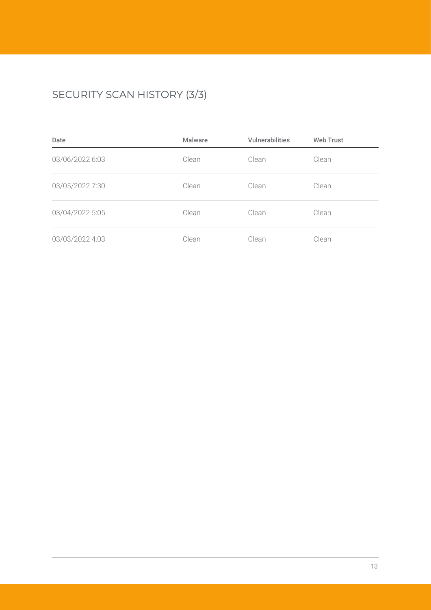## SECURITY SCAN HISTORY (3/3)

| Date            | <b>Malware</b> | <b>Vulnerabilities</b> | <b>Web Trust</b> |
|-----------------|----------------|------------------------|------------------|
| 03/06/2022 6:03 | Clean          | Clean                  | Clean            |
| 03/05/2022 7:30 | Clean          | Clean                  | Clean            |
| 03/04/2022 5:05 | Clean          | Clean                  | Clean            |
| 03/03/2022 4:03 | Clean          | Clean                  | Clean            |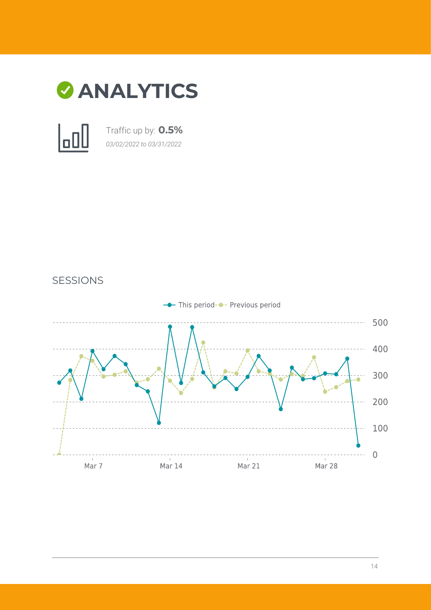

Traffic up by: **0.5%** *03/02/2022 to 03/31/2022*



SESSIONS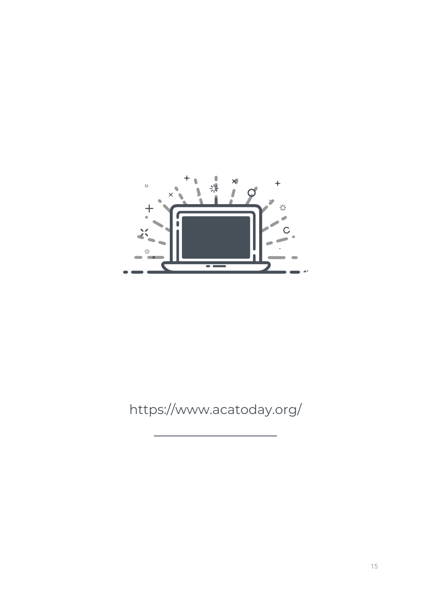

## https://www.acatoday.org/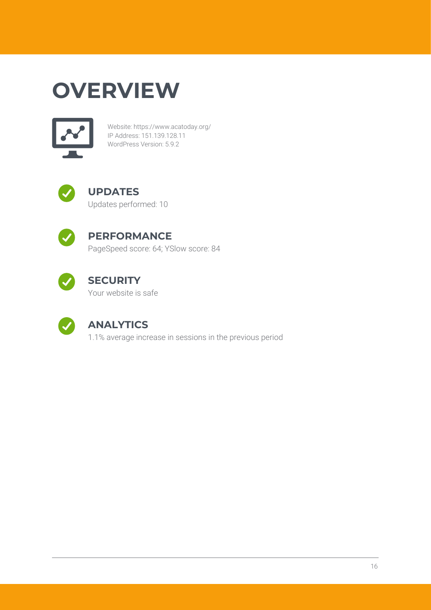# **OVERVIEW**



Website: https://www.acatoday.org/ IP Address: 151.139.128.11 WordPress Version: 5.9.2



#### **UPDATES** Updates performed: 10



### **PERFORMANCE**

PageSpeed score: 64; YSlow score: 84



## **SECURITY**

Your website is safe



### **ANALYTICS**

1.1% average increase in sessions in the previous period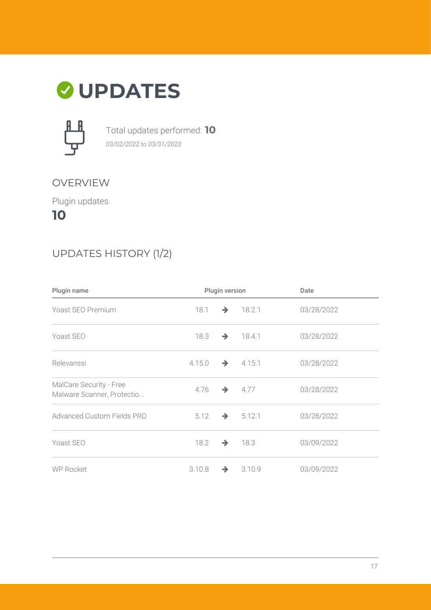



Total updates performed: **10** *03/02/2022 to 03/31/2022*

#### OVERVIEW

Plugin updates

**10**

### UPDATES HISTORY (1/2)

| Plugin name                                           | Plugin version |               |                      | Date       |
|-------------------------------------------------------|----------------|---------------|----------------------|------------|
| Yoast SEO Premium                                     | 18.1           | $\rightarrow$ | 18.2.1               | 03/28/2022 |
| Yoast SEO                                             | 18.3           | $\rightarrow$ | 18.4.1               | 03/28/2022 |
| Relevanssi                                            | 4.15.0         |               | $\rightarrow$ 4.15.1 | 03/28/2022 |
| MalCare Security - Free<br>Malware Scanner, Protectio | 4.76           | $\rightarrow$ | 4.77                 | 03/28/2022 |
| <b>Advanced Custom Fields PRO</b>                     | 5.12           | $\rightarrow$ | 5.12.1               | 03/28/2022 |
| Yoast SEO                                             | 18.2           | $\rightarrow$ | 18.3                 | 03/09/2022 |
| <b>WP Rocket</b>                                      | 3.10.8         | $\rightarrow$ | 3.10.9               | 03/09/2022 |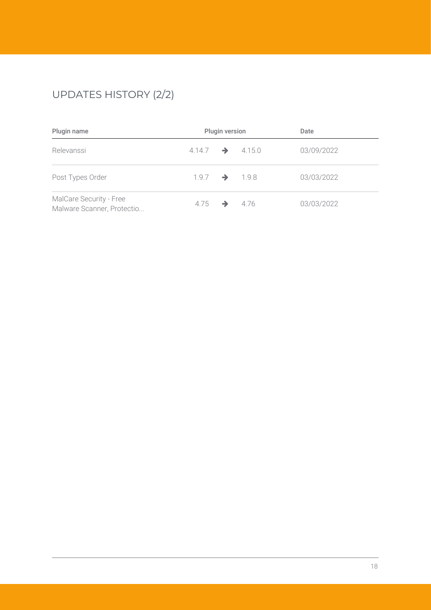## UPDATES HISTORY (2/2)

| Plugin name                                           | Plugin version              |  |      | Date       |  |
|-------------------------------------------------------|-----------------------------|--|------|------------|--|
| Relevanssi                                            | $4.14.7 \rightarrow 4.15.0$ |  |      | 03/09/2022 |  |
| Post Types Order                                      | $1.9.7 \rightarrow 1.9.8$   |  |      | 03/03/2022 |  |
| MalCare Security - Free<br>Malware Scanner, Protectio | $4.75 \rightarrow$          |  | 4.76 | 03/03/2022 |  |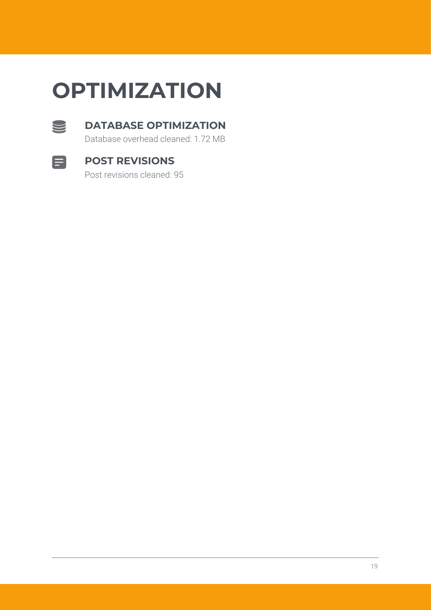# **OPTIMIZATION**



#### **DATABASE OPTIMIZATION**

Database overhead cleaned: 1.72 MB



#### **POST REVISIONS**

Post revisions cleaned: 95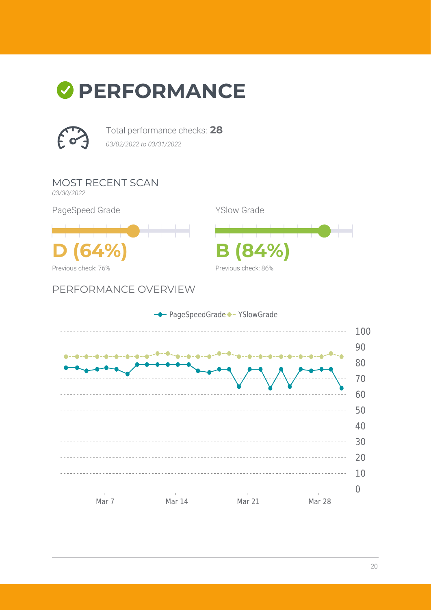# *O* PERFORMANCE



Total performance checks: **28** *03/02/2022 to 03/31/2022*

MOST RECENT SCAN

*03/30/2022*

Previous check: 76%

PageSpeed Grade

YSlow Grade



PERFORMANCE OVERVIEW

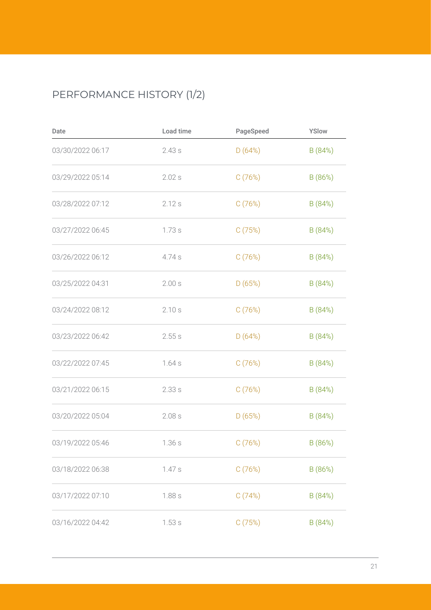## PERFORMANCE HISTORY (1/2)

| Date             | Load time | PageSpeed | YSlow   |
|------------------|-----------|-----------|---------|
| 03/30/2022 06:17 | 2.43s     | D(64%)    | B (84%) |
| 03/29/2022 05:14 | 2.02s     | C(76%)    | B (86%) |
| 03/28/2022 07:12 | 2.12s     | C(76%)    | B (84%) |
| 03/27/2022 06:45 | 1.73s     | C(75%)    | B (84%) |
| 03/26/2022 06:12 | 4.74 s    | C(76%)    | B (84%) |
| 03/25/2022 04:31 | 2.00 s    | D(65%)    | B (84%) |
| 03/24/2022 08:12 | 2.10s     | C(76%)    | B (84%) |
| 03/23/2022 06:42 | 2.55s     | D(64%)    | B (84%) |
| 03/22/2022 07:45 | 1.64s     | C(76%)    | B (84%) |
| 03/21/2022 06:15 | 2.33s     | C(76%)    | B (84%) |
| 03/20/2022 05:04 | 2.08s     | D(65%)    | B (84%) |
| 03/19/2022 05:46 | 1.36s     | C(76%)    | B (86%) |
| 03/18/2022 06:38 | 1.47s     | C(76%)    | B (86%) |
| 03/17/2022 07:10 | 1.88 s    | C(74%)    | B (84%) |
| 03/16/2022 04:42 | 1.53s     | C(75%)    | B (84%) |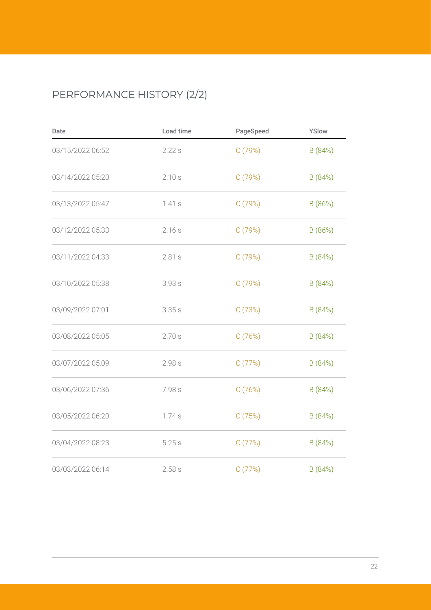## PERFORMANCE HISTORY (2/2)

| Date             | Load time | PageSpeed | YSlow   |
|------------------|-----------|-----------|---------|
| 03/15/2022 06:52 | 2.22s     | C(79%)    | B (84%) |
| 03/14/2022 05:20 | 2.10s     | C(79%)    | B (84%) |
| 03/13/2022 05:47 | 1.41s     | C(79%)    | B (86%) |
| 03/12/2022 05:33 | 2.16s     | C(79%)    | B (86%) |
| 03/11/2022 04:33 | 2.81s     | C(79%)    | B (84%) |
| 03/10/2022 05:38 | 3.93s     | C(79%)    | B (84%) |
| 03/09/2022 07:01 | 3.35s     | C(73%)    | B(84%)  |
| 03/08/2022 05:05 | 2.70s     | C(76%)    | B (84%) |
| 03/07/2022 05:09 | 2.98s     | C(77%)    | B (84%) |
| 03/06/2022 07:36 | 7.98 s    | C(76%)    | B (84%) |
| 03/05/2022 06:20 | 1.74s     | C(75%)    | B (84%) |
| 03/04/2022 08:23 | 5.25s     | C(77%)    | B (84%) |
| 03/03/2022 06:14 | 2.58s     | C(77%)    | B(84%)  |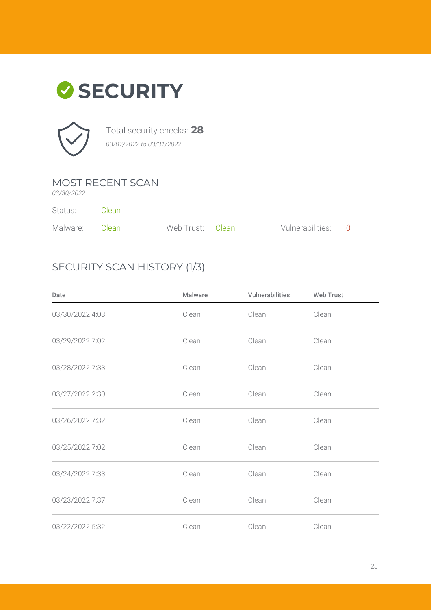



Total security checks: **28** *03/02/2022 to 03/31/2022*

### MOST RECENT SCAN

*03/30/2022*

Status: Clean

| Malware: Clean | Web Trust: Clean | Vulnerabilities: 0 |  |
|----------------|------------------|--------------------|--|

### SECURITY SCAN HISTORY (1/3)

| Date            | <b>Malware</b> | Vulnerabilities | <b>Web Trust</b> |
|-----------------|----------------|-----------------|------------------|
| 03/30/2022 4:03 | Clean          | Clean           | Clean            |
| 03/29/2022 7:02 | Clean          | Clean           | Clean            |
| 03/28/2022 7:33 | Clean          | Clean           | Clean            |
| 03/27/2022 2:30 | Clean          | Clean           | Clean            |
| 03/26/2022 7:32 | Clean          | Clean           | Clean            |
| 03/25/2022 7:02 | Clean          | Clean           | Clean            |
| 03/24/2022 7:33 | Clean          | Clean           | Clean            |
| 03/23/2022 7:37 | Clean          | Clean           | Clean            |
| 03/22/2022 5:32 | Clean          | Clean           | Clean            |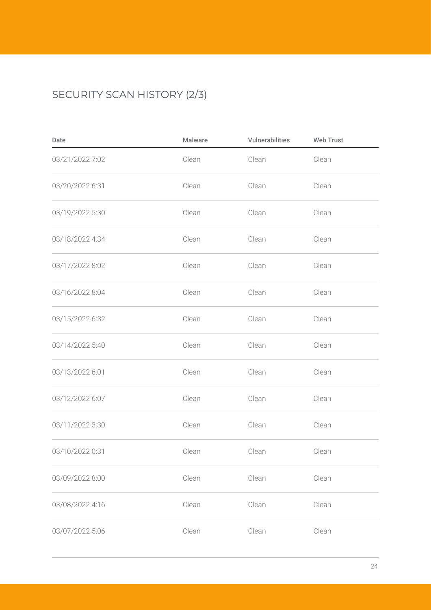## SECURITY SCAN HISTORY (2/3)

| Date            | Malware | <b>Vulnerabilities</b> | <b>Web Trust</b> |
|-----------------|---------|------------------------|------------------|
| 03/21/2022 7:02 | Clean   | Clean                  | Clean            |
| 03/20/2022 6:31 | Clean   | Clean                  | Clean            |
| 03/19/2022 5:30 | Clean   | Clean                  | Clean            |
| 03/18/2022 4:34 | Clean   | Clean                  | Clean            |
| 03/17/2022 8:02 | Clean   | Clean                  | Clean            |
| 03/16/2022 8:04 | Clean   | Clean                  | Clean            |
| 03/15/2022 6:32 | Clean   | Clean                  | Clean            |
| 03/14/2022 5:40 | Clean   | Clean                  | Clean            |
| 03/13/2022 6:01 | Clean   | Clean                  | Clean            |
| 03/12/2022 6:07 | Clean   | Clean                  | Clean            |
| 03/11/2022 3:30 | Clean   | Clean                  | Clean            |
| 03/10/2022 0:31 | Clean   | Clean                  | Clean            |
| 03/09/2022 8:00 | Clean   | Clean                  | Clean            |
| 03/08/2022 4:16 | Clean   | Clean                  | Clean            |
| 03/07/2022 5:06 | Clean   | Clean                  | Clean            |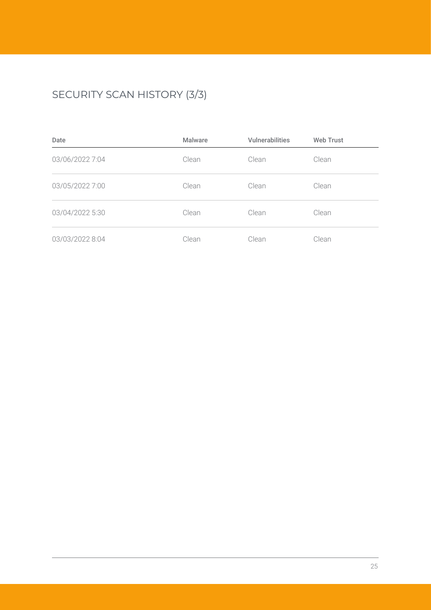## SECURITY SCAN HISTORY (3/3)

| Date            | <b>Malware</b> | <b>Vulnerabilities</b> | <b>Web Trust</b> |
|-----------------|----------------|------------------------|------------------|
| 03/06/2022 7:04 | Clean          | Clean                  | Clean            |
| 03/05/2022 7:00 | Clean          | Clean                  | Clean            |
| 03/04/2022 5:30 | Clean          | Clean                  | Clean            |
| 03/03/2022 8:04 | Clean          | Clean                  | Clean            |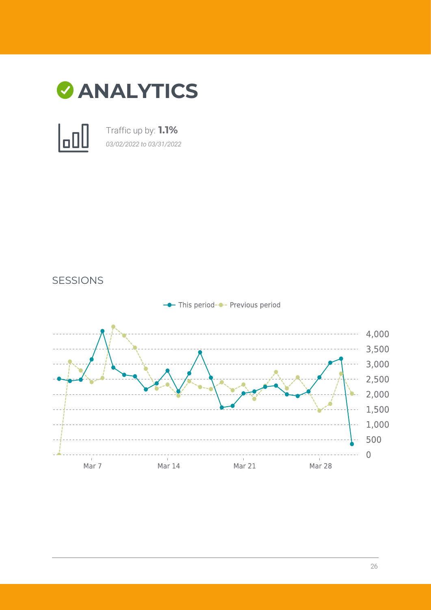

Traffic up by: **1.1%** *03/02/2022 to 03/31/2022*



SESSIONS